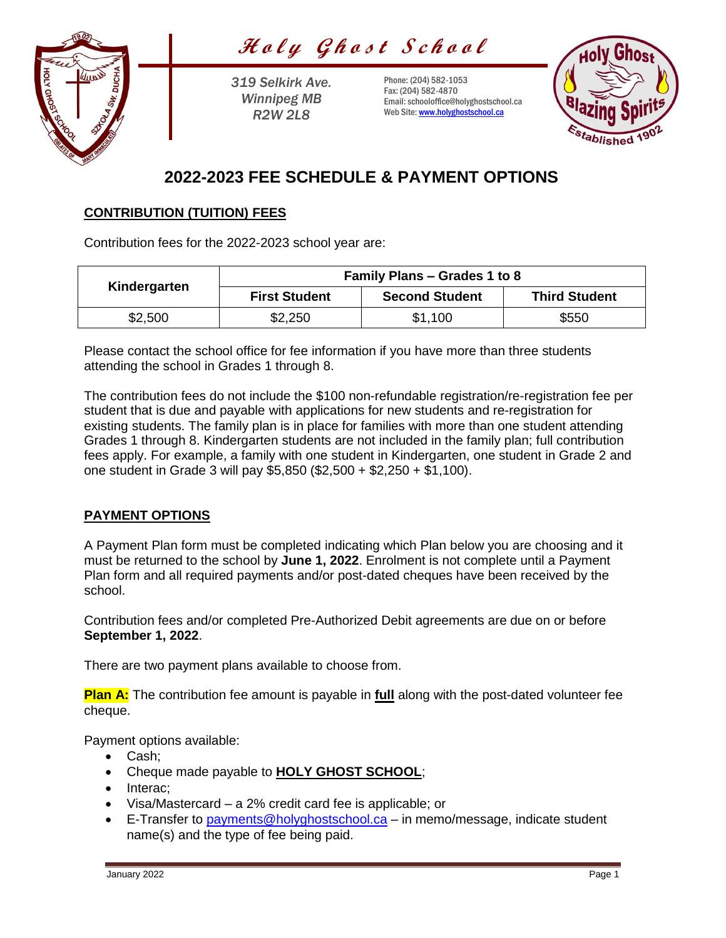Holy Ghost School



*319 Selkirk Ave. Winnipeg MB R2W 2L8*

Phone: (204) 582-1053 Fax: (204) 582-4870 Email: schooloffice@holyghostschool.ca Web Site: [www.holyghostschool.ca](http://www.holyghostschool.ca/)



# **2022-2023 FEE SCHEDULE & PAYMENT OPTIONS**

### **CONTRIBUTION (TUITION) FEES**

Contribution fees for the 2022-2023 school year are:

| Kindergarten | <b>Family Plans – Grades 1 to 8</b> |                       |                      |
|--------------|-------------------------------------|-----------------------|----------------------|
|              | <b>First Student</b>                | <b>Second Student</b> | <b>Third Student</b> |
| \$2,500      | \$2,250                             | \$1,100               | \$550                |

Please contact the school office for fee information if you have more than three students attending the school in Grades 1 through 8.

The contribution fees do not include the \$100 non-refundable registration/re-registration fee per student that is due and payable with applications for new students and re-registration for existing students. The family plan is in place for families with more than one student attending Grades 1 through 8. Kindergarten students are not included in the family plan; full contribution fees apply. For example, a family with one student in Kindergarten, one student in Grade 2 and one student in Grade 3 will pay \$5,850 (\$2,500 + \$2,250 + \$1,100).

# **PAYMENT OPTIONS**

A Payment Plan form must be completed indicating which Plan below you are choosing and it must be returned to the school by **June 1, 2022**. Enrolment is not complete until a Payment Plan form and all required payments and/or post-dated cheques have been received by the school.

Contribution fees and/or completed Pre-Authorized Debit agreements are due on or before **September 1, 2022**.

There are two payment plans available to choose from.

**Plan A:** The contribution fee amount is payable in **full** along with the post-dated volunteer fee cheque.

Payment options available:

- Cash:
- Cheque made payable to **HOLY GHOST SCHOOL**;
- Interac:
- Visa/Mastercard a 2% credit card fee is applicable; or
- E-Transfer to [payments@holyghostschool.ca](mailto:payments@holyghostschool.ca) in memo/message, indicate student name(s) and the type of fee being paid.